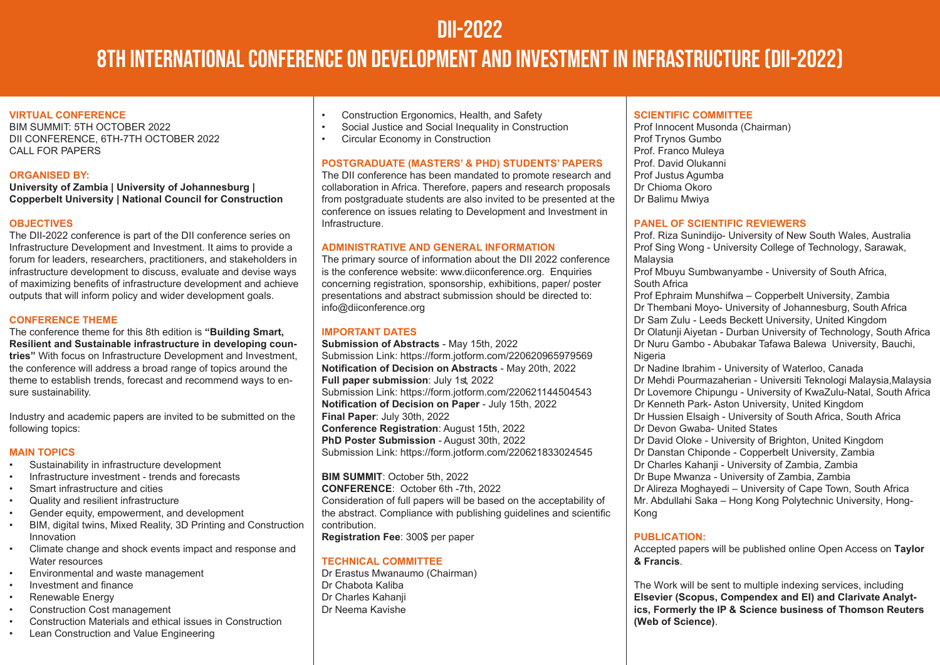## DII-2022

# 8th INTERNATIONAL CONFERENCE ON DEVELOPMENT AND INVESTMENT IN INFRASTRUCTURE (DII-2022)

#### **VIRTUAL CONFERENCE**

BIM SUMMIT: 5TH OCTOBER 2022 DII CONFERENCE, 6TH-7TH OCTOBER 2022 CALL FOR PAPERS

#### **ORGANISED BY:**

**University of Zambia | University of Johannesburg | Copperbelt University | National Council for Construction** 

#### **OBJECTIVES**

The DII-2022 conference is part of the DII conference series on Infrastructure Development and Investment. It aims to provide a forum for leaders, researchers, practitioners, and stakeholders in infrastructure development to discuss, evaluate and devise ways of maximizing benefits of infrastructure development and achieve outputs that will inform policy and wider development goals.

#### **CONFERENCE THEME**

The conference theme for this 8th edition is **"Building Smart, Resilient and Sustainable infrastructure in developing countries"** With focus on Infrastructure Development and Investment, the conference will address a broad range of topics around the theme to establish trends, forecast and recommend ways to ensure sustainability.

Industry and academic papers are invited to be submitted on the following topics:

#### **MAIN TOPICS**

- Sustainability in infrastructure development
- Infrastructure investment trends and forecasts
- Smart infrastructure and cities
- Quality and resilient infrastructure
- Gender equity, empowerment, and development
- BIM, digital twins, Mixed Reality, 3D Printing and Construction Innovation
- Climate change and shock events impact and response and Water resources
- Environmental and waste management
- Investment and finance
- Renewable Energy
- Construction Cost management
- Construction Materials and ethical issues in Construction
- Lean Construction and Value Engineering
- Construction Ergonomics, Health, and Safety<br>• Social Justice and Social Inequality in Constru
- Social Justice and Social Inequality in Construction<br>• Circular Economy in Construction
- Circular Economy in Construction

#### **POSTGRADUATE (MASTERS' & PHD) STUDENTS' PAPERS**

The DII conference has been mandated to promote research and collaboration in Africa. Therefore, papers and research proposals from postgraduate students are also invited to be presented at the conference on issues relating to Development and Investment in Infrastructure.

#### **ADMINISTRATIVE AND GENERAL INFORMATION**

The primary source of information about the DII 2022 conference is the conference website: www.diiconference.org. Enquiries concerning registration, sponsorship, exhibitions, paper/ poster presentations and abstract submission should be directed to: info@diiconference.org

#### **IMPORTANT DATES**

**Submission of Abstracts** - May 15th, 2022 Submission Link: https://form.jotform.com/220620965979569 **Notification of Decision on Abstracts** - May 20th, 2022 **Full paper submission**: July 1st, 2022 Submission Link: https://form.jotform.com/220621144504543 **Notification of Decision on Paper** - July 15th, 2022 **Final Paper**: July 30th, 2022 **Conference Registration**: August 15th, 2022 **PhD Poster Submission** - August 30th, 2022 Submission Link: https://form.jotform.com/220621833024545

**BIM SUMMIT**: October 5th, 2022 **CONFERENCE**: October 6th -7th, 2022 Consideration of full papers will be based on the acceptability of the abstract. Compliance with publishing guidelines and scientific contribution.

**Registration Fee**: 300\$ per paper

#### **TECHNICAL COMMITTEE**

Dr Erastus Mwanaumo (Chairman) Dr Chabota Kaliba Dr Charles Kahanji Dr Neema Kavishe

#### **SCIENTIFIC COMMITTEE**

Prof Innocent Musonda (Chairman) Prof Trynos Gumbo Prof. Franco Muleya Prof. David Olukanni Prof Justus Agumba Dr Chioma Okoro Dr Balimu Mwiya

#### **PANEL OF SCIENTIFIC REVIEWERS**

Prof. Riza Sunindijo- University of New South Wales, Australia Prof Sing Wong - University College of Technology, Sarawak, Malaysia

Prof Mbuyu Sumbwanyambe - University of South Africa, South Africa

Prof Ephraim Munshifwa – Copperbelt University, Zambia Dr Thembani Moyo- University of Johannesburg, South Africa Dr Sam Zulu - Leeds Beckett University, United Kingdom Dr Olatunji Aiyetan - Durban University of Technology, South Africa Dr Nuru Gambo - Abubakar Tafawa Balewa University, Bauchi, **Nigeria** 

Dr Nadine Ibrahim - University of Waterloo, Canada Dr Mehdi Pourmazaherian - Universiti Teknologi Malaysia,Malaysia Dr Lovemore Chipungu - University of KwaZulu-Natal, South Africa Dr Kenneth Park- Aston University, United Kingdom Dr Hussien Elsaigh - University of South Africa, South Africa Dr Devon Gwaba- United States

Dr David Oloke - University of Brighton, United Kingdom Dr Danstan Chiponde - Copperbelt University, Zambia Dr Charles Kahanii - University of Zambia, Zambia Dr Bupe Mwanza - University of Zambia, Zambia Dr Alireza Moghayedi – University of Cape Town, South Africa Mr. Abdullahi Saka – Hong Kong Polytechnic University, Hong-Kong

#### **PUBLICATION:**

Accepted papers will be published online Open Access on **Taylor & Francis**.

The Work will be sent to multiple indexing services, including **Elsevier (Scopus, Compendex and EI) and Clarivate Analytics, Formerly the IP & Science business of Thomson Reuters (Web of Science)**.